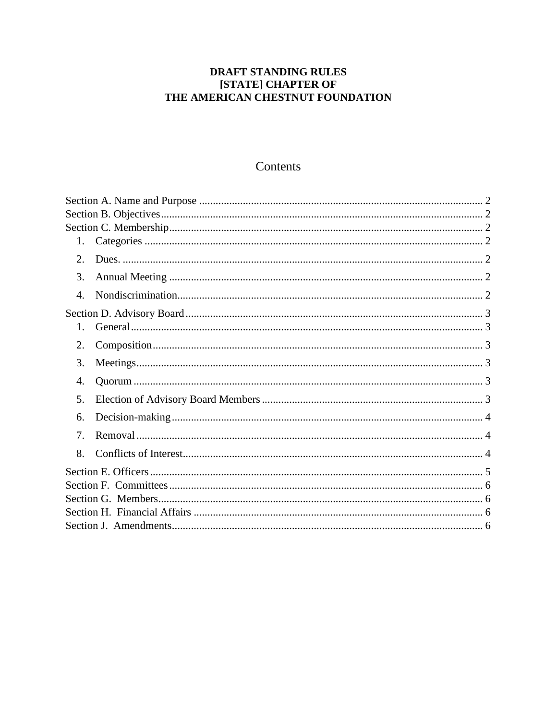#### DRAFT STANDING RULES [STATE] CHAPTER OF THE AMERICAN CHESTNUT FOUNDATION

# Contents

| 1.             |  |  |
|----------------|--|--|
| 2.             |  |  |
| 3.             |  |  |
| 4.             |  |  |
|                |  |  |
| $1_{-}$        |  |  |
| 2.             |  |  |
| 3.             |  |  |
| 4.             |  |  |
| 5.             |  |  |
| 6.             |  |  |
| 7 <sub>1</sub> |  |  |
| 8.             |  |  |
|                |  |  |
|                |  |  |
|                |  |  |
|                |  |  |
|                |  |  |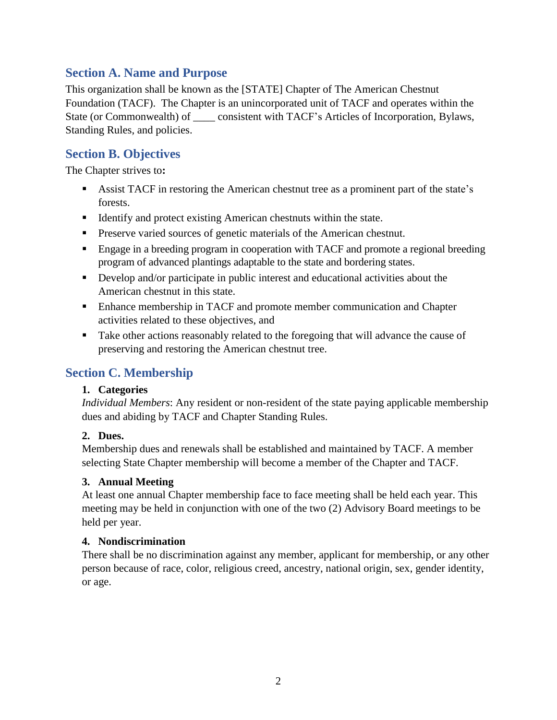# <span id="page-1-0"></span>**Section A. Name and Purpose**

This organization shall be known as the [STATE] Chapter of The American Chestnut Foundation (TACF). The Chapter is an unincorporated unit of TACF and operates within the State (or Commonwealth) of consistent with TACF's Articles of Incorporation, Bylaws, Standing Rules, and policies.

# <span id="page-1-1"></span>**Section B. Objectives**

The Chapter strives to**:**

- Assist TACF in restoring the American chestnut tree as a prominent part of the state's forests.
- Identify and protect existing American chestnuts within the state.
- **Preserve varied sources of genetic materials of the American chestnut.**
- Engage in a breeding program in cooperation with TACF and promote a regional breeding program of advanced plantings adaptable to the state and bordering states.
- Develop and/or participate in public interest and educational activities about the American chestnut in this state.
- Enhance membership in TACF and promote member communication and Chapter activities related to these objectives, and
- Take other actions reasonably related to the foregoing that will advance the cause of preserving and restoring the American chestnut tree.

# <span id="page-1-3"></span><span id="page-1-2"></span>**Section C. Membership**

#### **1. Categories**

*Individual Members*: Any resident or non-resident of the state paying applicable membership dues and abiding by TACF and Chapter Standing Rules.

#### <span id="page-1-4"></span>**2. Dues.**

Membership dues and renewals shall be established and maintained by TACF. A member selecting State Chapter membership will become a member of the Chapter and TACF.

#### <span id="page-1-5"></span>**3. Annual Meeting**

At least one annual Chapter membership face to face meeting shall be held each year. This meeting may be held in conjunction with one of the two (2) Advisory Board meetings to be held per year.

#### <span id="page-1-6"></span>**4. Nondiscrimination**

There shall be no discrimination against any member, applicant for membership, or any other person because of race, color, religious creed, ancestry, national origin, sex, gender identity, or age.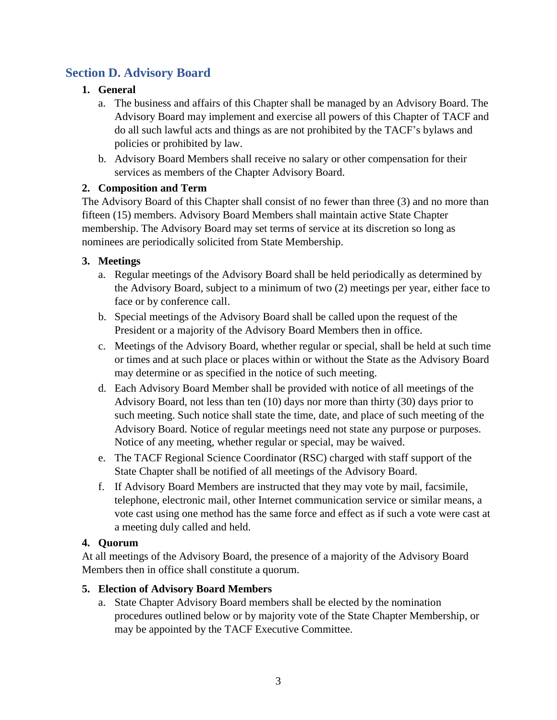# <span id="page-2-1"></span><span id="page-2-0"></span>**Section D. Advisory Board**

#### **1. General**

- a. The business and affairs of this Chapter shall be managed by an Advisory Board. The Advisory Board may implement and exercise all powers of this Chapter of TACF and do all such lawful acts and things as are not prohibited by the TACF's bylaws and policies or prohibited by law.
- b. Advisory Board Members shall receive no salary or other compensation for their services as members of the Chapter Advisory Board.

#### <span id="page-2-2"></span>**2. Composition and Term**

The Advisory Board of this Chapter shall consist of no fewer than three (3) and no more than fifteen (15) members. Advisory Board Members shall maintain active State Chapter membership. The Advisory Board may set terms of service at its discretion so long as nominees are periodically solicited from State Membership.

# <span id="page-2-3"></span>**3. Meetings**

- a. Regular meetings of the Advisory Board shall be held periodically as determined by the Advisory Board, subject to a minimum of two (2) meetings per year, either face to face or by conference call.
- b. Special meetings of the Advisory Board shall be called upon the request of the President or a majority of the Advisory Board Members then in office.
- c. Meetings of the Advisory Board, whether regular or special, shall be held at such time or times and at such place or places within or without the State as the Advisory Board may determine or as specified in the notice of such meeting.
- d. Each Advisory Board Member shall be provided with notice of all meetings of the Advisory Board, not less than ten (10) days nor more than thirty (30) days prior to such meeting. Such notice shall state the time, date, and place of such meeting of the Advisory Board. Notice of regular meetings need not state any purpose or purposes. Notice of any meeting, whether regular or special, may be waived.
- e. The TACF Regional Science Coordinator (RSC) charged with staff support of the State Chapter shall be notified of all meetings of the Advisory Board.
- f. If Advisory Board Members are instructed that they may vote by mail, facsimile, telephone, electronic mail, other Internet communication service or similar means, a vote cast using one method has the same force and effect as if such a vote were cast at a meeting duly called and held.

#### <span id="page-2-4"></span>**4. Quorum**

At all meetings of the Advisory Board, the presence of a majority of the Advisory Board Members then in office shall constitute a quorum.

# <span id="page-2-5"></span>**5. Election of Advisory Board Members**

a. State Chapter Advisory Board members shall be elected by the nomination procedures outlined below or by majority vote of the State Chapter Membership, or may be appointed by the TACF Executive Committee.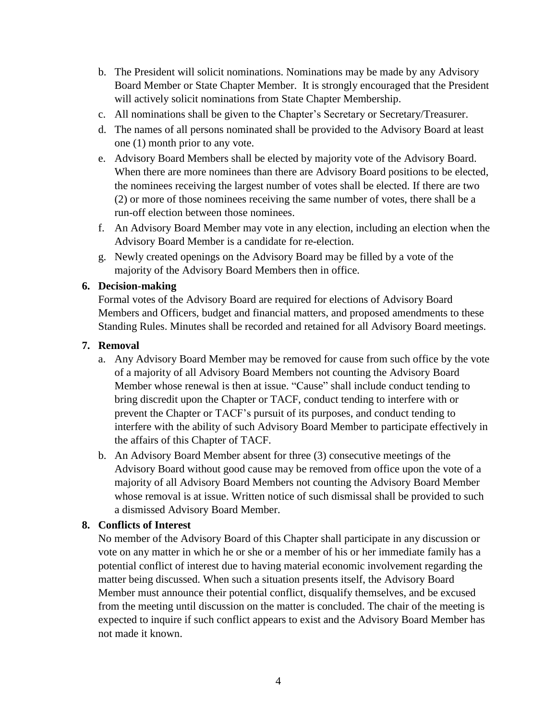- b. The President will solicit nominations. Nominations may be made by any Advisory Board Member or State Chapter Member. It is strongly encouraged that the President will actively solicit nominations from State Chapter Membership.
- c. All nominations shall be given to the Chapter's Secretary or Secretary/Treasurer.
- d. The names of all persons nominated shall be provided to the Advisory Board at least one (1) month prior to any vote.
- e. Advisory Board Members shall be elected by majority vote of the Advisory Board. When there are more nominees than there are Advisory Board positions to be elected, the nominees receiving the largest number of votes shall be elected. If there are two (2) or more of those nominees receiving the same number of votes, there shall be a run-off election between those nominees.
- f. An Advisory Board Member may vote in any election, including an election when the Advisory Board Member is a candidate for re-election.
- g. Newly created openings on the Advisory Board may be filled by a vote of the majority of the Advisory Board Members then in office.

#### <span id="page-3-0"></span>**6. Decision-making**

Formal votes of the Advisory Board are required for elections of Advisory Board Members and Officers, budget and financial matters, and proposed amendments to these Standing Rules. Minutes shall be recorded and retained for all Advisory Board meetings.

#### <span id="page-3-1"></span>**7. Removal**

- a. Any Advisory Board Member may be removed for cause from such office by the vote of a majority of all Advisory Board Members not counting the Advisory Board Member whose renewal is then at issue. "Cause" shall include conduct tending to bring discredit upon the Chapter or TACF, conduct tending to interfere with or prevent the Chapter or TACF's pursuit of its purposes, and conduct tending to interfere with the ability of such Advisory Board Member to participate effectively in the affairs of this Chapter of TACF.
- b. An Advisory Board Member absent for three (3) consecutive meetings of the Advisory Board without good cause may be removed from office upon the vote of a majority of all Advisory Board Members not counting the Advisory Board Member whose removal is at issue. Written notice of such dismissal shall be provided to such a dismissed Advisory Board Member.

#### <span id="page-3-2"></span>**8. Conflicts of Interest**

No member of the Advisory Board of this Chapter shall participate in any discussion or vote on any matter in which he or she or a member of his or her immediate family has a potential conflict of interest due to having material economic involvement regarding the matter being discussed. When such a situation presents itself, the Advisory Board Member must announce their potential conflict, disqualify themselves, and be excused from the meeting until discussion on the matter is concluded. The chair of the meeting is expected to inquire if such conflict appears to exist and the Advisory Board Member has not made it known.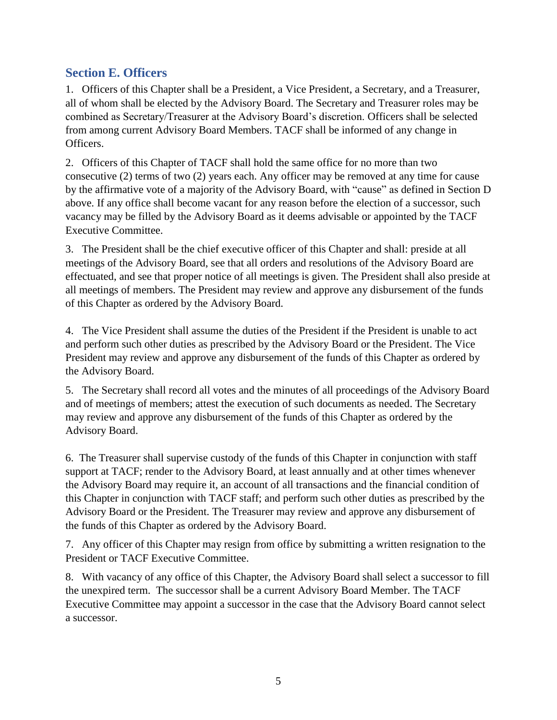# <span id="page-4-0"></span>**Section E. Officers**

1. Officers of this Chapter shall be a President, a Vice President, a Secretary, and a Treasurer, all of whom shall be elected by the Advisory Board. The Secretary and Treasurer roles may be combined as Secretary/Treasurer at the Advisory Board's discretion. Officers shall be selected from among current Advisory Board Members. TACF shall be informed of any change in Officers.

2. Officers of this Chapter of TACF shall hold the same office for no more than two consecutive (2) terms of two (2) years each. Any officer may be removed at any time for cause by the affirmative vote of a majority of the Advisory Board, with "cause" as defined in Section D above. If any office shall become vacant for any reason before the election of a successor, such vacancy may be filled by the Advisory Board as it deems advisable or appointed by the TACF Executive Committee.

3. The President shall be the chief executive officer of this Chapter and shall: preside at all meetings of the Advisory Board, see that all orders and resolutions of the Advisory Board are effectuated, and see that proper notice of all meetings is given. The President shall also preside at all meetings of members. The President may review and approve any disbursement of the funds of this Chapter as ordered by the Advisory Board.

4. The Vice President shall assume the duties of the President if the President is unable to act and perform such other duties as prescribed by the Advisory Board or the President. The Vice President may review and approve any disbursement of the funds of this Chapter as ordered by the Advisory Board.

5. The Secretary shall record all votes and the minutes of all proceedings of the Advisory Board and of meetings of members; attest the execution of such documents as needed. The Secretary may review and approve any disbursement of the funds of this Chapter as ordered by the Advisory Board.

6. The Treasurer shall supervise custody of the funds of this Chapter in conjunction with staff support at TACF; render to the Advisory Board, at least annually and at other times whenever the Advisory Board may require it, an account of all transactions and the financial condition of this Chapter in conjunction with TACF staff; and perform such other duties as prescribed by the Advisory Board or the President. The Treasurer may review and approve any disbursement of the funds of this Chapter as ordered by the Advisory Board.

7. Any officer of this Chapter may resign from office by submitting a written resignation to the President or TACF Executive Committee.

8. With vacancy of any office of this Chapter, the Advisory Board shall select a successor to fill the unexpired term. The successor shall be a current Advisory Board Member. The TACF Executive Committee may appoint a successor in the case that the Advisory Board cannot select a successor.